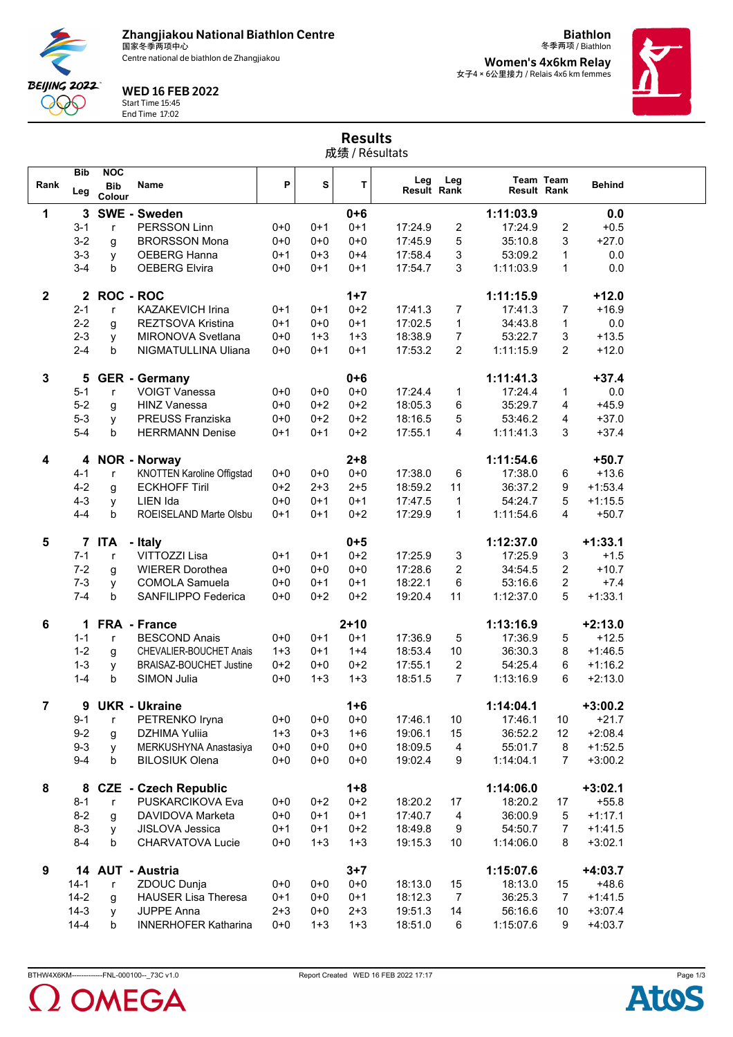**Zhangjiakou National Biathlon Centre** 国家冬季两项中心

Centre national de biathlon de Zhangjiakou



Start Time 15:45 End Time 17:02

**Bib NOC**

**BEIJING 2022** QQQ

冬季两项 / Biathlon **Women's 4x6km Relay** 女子4×6公里接力 / Relais 4x6 km femmes

**Team**

**Team**

**Biathlon**



Results 成绩 / Résultats **P**  $\begin{vmatrix} 1 & 1 \ 1 & 1 \end{vmatrix}$  **Deg Leg is Team Team Behind**<br>Result Rank Result Rank

| Rank           | Leg      | <b>Bib</b><br>Colour | Name                              | Ρ       | S       | т        | Leg<br><b>Result Rank</b> | Leg              | <b>Result Rank</b> | Team Team               | <b>Behind</b> |  |
|----------------|----------|----------------------|-----------------------------------|---------|---------|----------|---------------------------|------------------|--------------------|-------------------------|---------------|--|
| 1              | 3        |                      | <b>SWE - Sweden</b>               |         |         | $0 + 6$  |                           |                  | 1:11:03.9          |                         | 0.0           |  |
|                | $3 - 1$  | $\mathsf{r}$         | PERSSON Linn                      | $0 + 0$ | $0 + 1$ | $0 + 1$  | 17:24.9                   | 2                | 17:24.9            | $\overline{\mathbf{c}}$ | $+0.5$        |  |
|                | $3 - 2$  | g                    | <b>BRORSSON Mona</b>              | $0 + 0$ | $0 + 0$ | $0 + 0$  | 17:45.9                   | 5                | 35:10.8            | 3                       | $+27.0$       |  |
|                | $3 - 3$  | У                    | OEBERG Hanna                      | $0 + 1$ | $0 + 3$ | $0 + 4$  | 17:58.4                   | 3                | 53:09.2            | 1                       | 0.0           |  |
|                | $3 - 4$  | b                    | <b>OEBERG Elvira</b>              | $0 + 0$ | $0 + 1$ | $0 + 1$  | 17:54.7                   | 3                | 1:11:03.9          | $\mathbf{1}$            | 0.0           |  |
|                |          |                      |                                   |         |         |          |                           |                  |                    |                         |               |  |
| $\overline{2}$ |          | 2 ROC - ROC          |                                   |         |         | $1+7$    |                           |                  | 1:11:15.9          |                         | $+12.0$       |  |
|                | $2 - 1$  | r                    | <b>KAZAKEVICH Irina</b>           | $0+1$   | $0 + 1$ | $0 + 2$  | 17:41.3                   | $\overline{7}$   | 17:41.3            | $\overline{7}$          | $+16.9$       |  |
|                | $2 - 2$  | g                    | <b>REZTSOVA Kristina</b>          | $0 + 1$ | $0 + 0$ | $0 + 1$  | 17:02.5                   | 1                | 34:43.8            | 1                       | 0.0           |  |
|                | $2 - 3$  | y                    | MIRONOVA Svetlana                 | $0 + 0$ | $1 + 3$ | $1 + 3$  | 18:38.9                   | 7                | 53:22.7            | 3                       | $+13.5$       |  |
|                | $2 - 4$  | b                    | NIGMATULLINA Uliana               | $0 + 0$ | $0 + 1$ | $0 + 1$  | 17:53.2                   | 2                | 1:11:15.9          | 2                       | $+12.0$       |  |
|                |          |                      |                                   |         |         |          |                           |                  |                    |                         |               |  |
| $\mathbf{3}$   | 5        |                      | <b>GER</b> - Germany              |         |         | $0 + 6$  |                           |                  | 1:11:41.3          |                         | $+37.4$       |  |
|                | $5-1$    | $\mathsf{r}$         | <b>VOIGT Vanessa</b>              | $0 + 0$ | $0 + 0$ | $0 + 0$  | 17:24.4                   | $\mathbf{1}$     | 17:24.4            | $\mathbf 1$             | 0.0           |  |
|                | $5-2$    | g                    | <b>HINZ Vanessa</b>               | $0 + 0$ | $0+2$   | $0 + 2$  | 18:05.3                   | 6                | 35:29.7            | 4                       | $+45.9$       |  |
|                | $5 - 3$  | y                    | PREUSS Franziska                  | $0 + 0$ | $0 + 2$ | $0 + 2$  | 18:16.5                   | 5                | 53:46.2            | 4                       | $+37.0$       |  |
|                | $5-4$    | b                    | <b>HERRMANN Denise</b>            | $0 + 1$ | $0 + 1$ | $0 + 2$  | 17:55.1                   | 4                | 1:11:41.3          | 3                       | $+37.4$       |  |
|                |          |                      |                                   |         |         |          |                           |                  |                    |                         |               |  |
| 4              | 4        |                      | <b>NOR - Norway</b>               |         |         | $2 + 8$  |                           |                  | 1:11:54.6          |                         | $+50.7$       |  |
|                | $4 - 1$  | $\mathsf{r}$         | <b>KNOTTEN Karoline Offigstad</b> | $0+0$   | $0+0$   | $0 + 0$  | 17:38.0                   | 6                | 17:38.0            | 6                       | $+13.6$       |  |
|                | $4 - 2$  | g                    | <b>ECKHOFF Tiril</b>              | $0 + 2$ | $2 + 3$ | $2 + 5$  | 18:59.2                   | 11               | 36:37.2            | 9                       | $+1:53.4$     |  |
|                | $4 - 3$  | y                    | LIEN Ida                          | $0 + 0$ | $0 + 1$ | $0 + 1$  | 17:47.5                   | 1                | 54:24.7            | 5                       | $+1:15.5$     |  |
|                | $4 - 4$  | b                    | ROEISELAND Marte Olsbu            | $0+1$   | $0 + 1$ | $0 + 2$  | 17:29.9                   | 1                | 1:11:54.6          | 4                       | $+50.7$       |  |
|                |          |                      |                                   |         |         |          |                           |                  |                    |                         |               |  |
| 5              |          | 7 ITA                | - Italy                           |         |         | $0 + 5$  |                           |                  | 1:12:37.0          |                         | $+1:33.1$     |  |
|                | $7 - 1$  | $\mathsf{r}$         | VITTOZZI Lisa                     | $0 + 1$ | $0 + 1$ | $0 + 2$  | 17:25.9                   | 3                | 17:25.9            | 3                       | $+1.5$        |  |
|                | $7 - 2$  | g                    | <b>WIERER Dorothea</b>            | $0 + 0$ | $0 + 0$ | $0 + 0$  | 17:28.6                   | $\overline{2}$   | 34:54.5            | $\overline{2}$          | $+10.7$       |  |
|                | $7 - 3$  | y                    | <b>COMOLA Samuela</b>             | $0 + 0$ | $0+1$   | $0+1$    | 18:22.1                   | 6                | 53:16.6            | 2                       | $+7.4$        |  |
|                | $7 - 4$  | b                    | SANFILIPPO Federica               | $0 + 0$ | $0 + 2$ | $0 + 2$  | 19:20.4                   | 11               | 1:12:37.0          | 5                       | $+1:33.1$     |  |
| 6              |          |                      | 1 FRA - France                    |         |         | $2 + 10$ |                           |                  | 1:13:16.9          |                         | $+2:13.0$     |  |
|                | $1 - 1$  | r                    | <b>BESCOND Anais</b>              | $0 + 0$ | $0 + 1$ | $0 + 1$  | 17:36.9                   | 5                | 17:36.9            | 5                       | $+12.5$       |  |
|                | $1 - 2$  | g                    | CHEVALIER-BOUCHET Anais           | $1 + 3$ | $0+1$   | $1 + 4$  | 18:53.4                   | 10               | 36:30.3            | 8                       | $+1:46.5$     |  |
|                | $1 - 3$  | y                    | <b>BRAISAZ-BOUCHET Justine</b>    | $0 + 2$ | $0 + 0$ | $0 + 2$  | 17:55.1                   | $\boldsymbol{2}$ | 54:25.4            | 6                       | $+1:16.2$     |  |
|                | $1 - 4$  | b                    | SIMON Julia                       | $0 + 0$ | $1 + 3$ | $1 + 3$  | 18:51.5                   | $\overline{7}$   | 1:13:16.9          | 6                       | $+2:13.0$     |  |
|                |          |                      |                                   |         |         |          |                           |                  |                    |                         |               |  |
| $\overline{7}$ | 9        |                      | <b>UKR - Ukraine</b>              |         |         | $1 + 6$  |                           |                  | 1:14:04.1          |                         | $+3:00.2$     |  |
|                | $9 - 1$  | r                    | PETRENKO Iryna                    | $0+0$   | $0+0$   | $0 + 0$  | 17:46.1                   | 10               | 17:46.1            | 10                      | $+21.7$       |  |
|                | 9-2      | g                    | DZHIMA Yulija                     | $1 + 3$ | 0+3     | $1 + 6$  | 19:06.1                   | 15               | 36:52.2            | 12                      | +2:08.4       |  |
|                | $9 - 3$  | У                    | MERKUSHYNA Anastasiya             | $0 + 0$ | $0 + 0$ | $0 + 0$  | 18:09.5                   | 4                | 55:01.7            | 8                       | $+1:52.5$     |  |
|                | $9 - 4$  | b                    | <b>BILOSIUK Olena</b>             | $0 + 0$ | $0 + 0$ | $0 + 0$  | 19:02.4                   | 9                | 1:14:04.1          | $\overline{7}$          | $+3:00.2$     |  |
|                |          |                      |                                   |         |         |          |                           |                  |                    |                         |               |  |
| 8              |          |                      | 8 CZE - Czech Republic            |         |         | $1 + 8$  |                           |                  | 1:14:06.0          |                         | $+3:02.1$     |  |
|                | $8 - 1$  | r                    | PUSKARCIKOVA Eva                  | $0 + 0$ | $0 + 2$ | $0 + 2$  | 18:20.2                   | 17               | 18:20.2            | 17                      | $+55.8$       |  |
|                | $8 - 2$  | g                    | DAVIDOVA Marketa                  | $0 + 0$ | $0 + 1$ | $0 + 1$  | 17:40.7                   | 4                | 36:00.9            | 5                       | $+1:17.1$     |  |
|                | $8 - 3$  | У                    | JISLOVA Jessica                   | $0 + 1$ | $0+1$   | $0 + 2$  | 18:49.8                   | 9                | 54:50.7            | $\overline{7}$          | $+1:41.5$     |  |
|                | $8 - 4$  | b                    | CHARVATOVA Lucie                  | $0 + 0$ | $1 + 3$ | $1 + 3$  | 19:15.3                   | 10               | 1:14:06.0          | 8                       | $+3:02.1$     |  |
| 9              |          |                      | 14 AUT - Austria                  |         |         | $3 + 7$  |                           |                  | 1:15:07.6          |                         | $+4:03.7$     |  |
|                | $14 - 1$ | r                    | ZDOUC Dunja                       | $0 + 0$ | $0 + 0$ | $0 + 0$  | 18:13.0                   | 15               | 18:13.0            | 15                      | $+48.6$       |  |
|                | $14 - 2$ | g                    | <b>HAUSER Lisa Theresa</b>        | $0 + 1$ | $0 + 0$ | $0 + 1$  | 18:12.3                   | $\overline{7}$   | 36:25.3            | 7                       | $+1:41.5$     |  |
|                | $14-3$   | У                    | <b>JUPPE Anna</b>                 | $2 + 3$ | $0 + 0$ | $2 + 3$  | 19:51.3                   | 14               | 56:16.6            | 10                      | $+3:07.4$     |  |
|                | $14 - 4$ | b                    | <b>INNERHOFER Katharina</b>       | $0 + 0$ | $1 + 3$ | $1 + 3$  | 18:51.0                   | 6                | 1:15:07.6          | 9                       | $+4:03.7$     |  |
|                |          |                      |                                   |         |         |          |                           |                  |                    |                         |               |  |



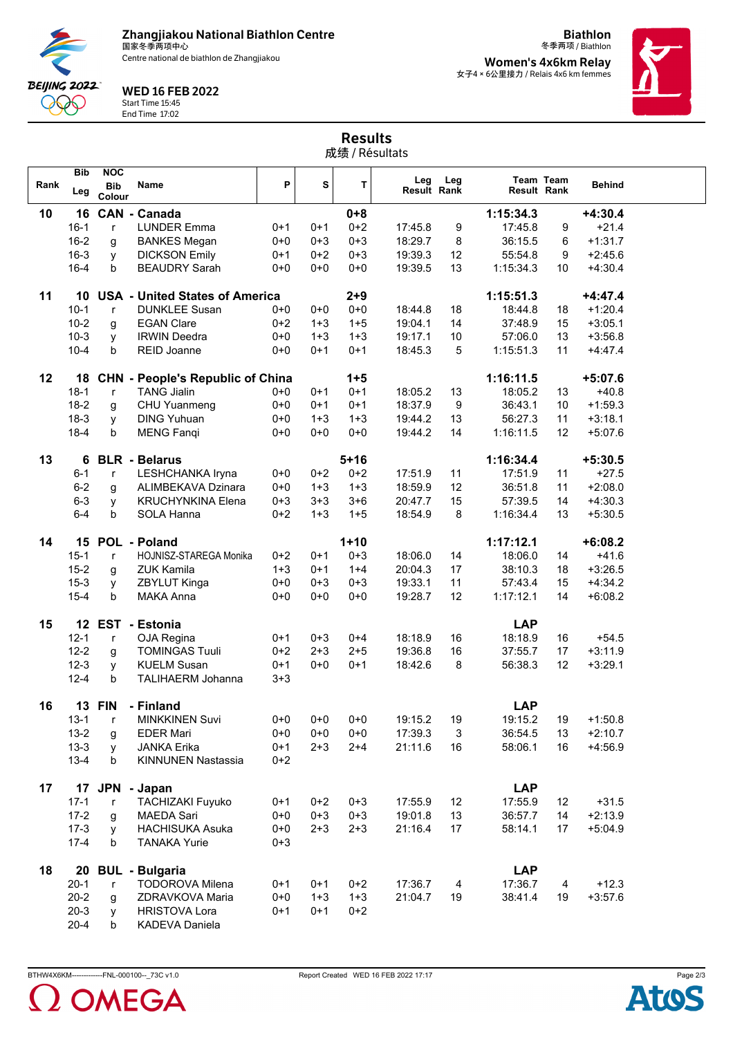**Zhangjiakou National Biathlon Centre** 国家冬季两项中心



Centre national de biathlon de Zhangjiakou

WED 16 FEB 2022

Start Time 15:45 End Time 17:02

冬季两项 / Biathlon **Women's 4x6km Relay** 女子4×6公里接力 / Relais 4x6 km femmes

**Biathlon**



|      |                   |                                    |                                         |         |         | <b>Results</b><br>成绩 / Résultats |                           |     |                    |           |               |
|------|-------------------|------------------------------------|-----------------------------------------|---------|---------|----------------------------------|---------------------------|-----|--------------------|-----------|---------------|
| Rank | <b>Bib</b><br>Leg | <b>NOC</b><br><b>Bib</b><br>Colour | <b>Name</b>                             | P       | s       | T                                | Leg<br><b>Result Rank</b> | Leg | <b>Result Rank</b> | Team Team | <b>Behind</b> |
| 10   | 16                |                                    | <b>CAN - Canada</b>                     |         |         | $0 + 8$                          |                           |     | 1:15:34.3          |           | $+4:30.4$     |
|      | $16 - 1$          | $\mathsf{r}$                       | <b>LUNDER Emma</b>                      | $0+1$   | $0 + 1$ | $0+2$                            | 17:45.8                   | 9   | 17:45.8            | 9         | $+21.4$       |
|      | $16 - 2$          | g                                  | <b>BANKES Megan</b>                     | $0 + 0$ | $0 + 3$ | $0 + 3$                          | 18:29.7                   | 8   | 36:15.5            | 6         | $+1:31.7$     |
|      | $16 - 3$          | у                                  | <b>DICKSON Emily</b>                    | $0 + 1$ | $0 + 2$ | $0 + 3$                          | 19:39.3                   | 12  | 55:54.8            | 9         | $+2:45.6$     |
|      | $16 - 4$          | b                                  | <b>BEAUDRY Sarah</b>                    | $0 + 0$ | $0 + 0$ | $0 + 0$                          | 19:39.5                   | 13  | 1:15:34.3          | 10        | $+4:30.4$     |
| 11   | 10                |                                    | <b>USA - United States of America</b>   |         |         | $2 + 9$                          |                           |     | 1:15:51.3          |           | $+4:47.4$     |
|      | $10-1$            | $\mathsf{r}$                       | <b>DUNKLEE Susan</b>                    | $0+0$   | $0 + 0$ | $0 + 0$                          | 18:44.8                   | 18  | 18:44.8            | 18        | $+1:20.4$     |
|      | $10 - 2$          | g                                  | <b>EGAN Clare</b>                       | $0+2$   | $1 + 3$ | $1 + 5$                          | 19:04.1                   | 14  | 37:48.9            | 15        | $+3:05.1$     |
|      | $10-3$            | V                                  | <b>IRWIN Deedra</b>                     | $0 + 0$ | $1 + 3$ | $1 + 3$                          | 19:17.1                   | 10  | 57:06.0            | 13        | $+3.56.8$     |
|      | $10 - 4$          | b                                  | <b>REID Joanne</b>                      | $0 + 0$ | $0 + 1$ | $0 + 1$                          | 18:45.3                   | 5   | 1:15:51.3          | 11        | $+4:47.4$     |
| 12   | 18                |                                    | <b>CHN</b> - People's Republic of China |         |         | $1 + 5$                          |                           |     | 1:16:11.5          |           | $+5:07.6$     |
|      | $18-1$            | $\mathsf{r}$                       | <b>TANG Jialin</b>                      | $0 + 0$ | $0 + 1$ | $0 + 1$                          | 18:05.2                   | 13  | 18:05.2            | 13        | $+40.8$       |
|      | $18-2$            | g                                  | CHU Yuanmeng                            | $0 + 0$ | $0 + 1$ | $0 + 1$                          | 18:37.9                   | 9   | 36:43.1            | 10        | $+1.59.3$     |
|      | $18-3$            | y                                  | <b>DING Yuhuan</b>                      | $0 + 0$ | $1 + 3$ | $1 + 3$                          | 19:44.2                   | 13  | 56:27.3            | 11        | $+3:18.1$     |
|      | $18 - 4$          | b                                  | <b>MENG Fanqi</b>                       | $0 + 0$ | $0 + 0$ | $0 + 0$                          | 19:44.2                   | 14  | 1:16:11.5          | 12        | $+5.07.6$     |
| 13   | 6                 |                                    | <b>BLR</b> - Belarus                    |         |         | $5 + 16$                         |                           |     | 1:16:34.4          |           | $+5:30.5$     |
|      | $6 - 1$           | $\mathsf{r}$                       | LESHCHANKA Iryna                        | $0 + 0$ | $0+2$   | $0 + 2$                          | 17:51.9                   | 11  | 17:51.9            | 11        | $+27.5$       |
|      | $6 - 2$           | g                                  | ALIMBEKAVA Dzinara                      | $0 + 0$ | $1 + 3$ | $1 + 3$                          | 18:59.9                   | 12  | 36:51.8            | 11        | $+2:08.0$     |
|      | $6 - 3$           | у                                  | <b>KRUCHYNKINA Elena</b>                | $0 + 3$ | $3 + 3$ | $3 + 6$                          | 20:47.7                   | 15  | 57:39.5            | 14        | $+4:30.3$     |
|      | $6 - 4$           | b                                  | <b>SOLA Hanna</b>                       | $0+2$   | $1 + 3$ | $1 + 5$                          | 18:54.9                   | 8   | 1:16:34.4          | 13        | $+5:30.5$     |
| 14   |                   |                                    | 15 POL - Poland                         |         |         | $1 + 10$                         |                           |     | 1:17:12.1          |           | $+6:08.2$     |
|      | $15 - 1$          | $\mathsf{r}$                       | HOJNISZ-STAREGA Monika                  | $0+2$   | $0+1$   | $0 + 3$                          | 18:06.0                   | 14  | 18:06.0            | 14        | $+41.6$       |
|      | $15 - 2$          | g                                  | <b>ZUK Kamila</b>                       | $1 + 3$ | $0 + 1$ | $1 + 4$                          | 20:04.3                   | 17  | 38:10.3            | 18        | $+3:26.5$     |
|      | $15 - 3$          | у                                  | ZBYLUT Kinga                            | $0 + 0$ | $0 + 3$ | $0 + 3$                          | 19:33.1                   | 11  | 57:43.4            | 15        | $+4:34.2$     |
|      | $15 - 4$          | $\mathbf b$                        | <b>MAKA Anna</b>                        | $0+0$   | $0+0$   | $0+0$                            | 19:28.7                   | 12  | 1:17:12.1          | 14        | $+6:08.2$     |
| 15   |                   |                                    | 12 EST - Estonia                        |         |         |                                  |                           |     | <b>LAP</b>         |           |               |
|      | $12 - 1$          | $\mathsf{r}$                       | OJA Regina                              | $0+1$   | $0 + 3$ | $0 + 4$                          | 18:18.9                   | 16  | 18:18.9            | 16        | $+54.5$       |
|      | $12 - 2$          | g                                  | <b>TOMINGAS Tuuli</b>                   | $0+2$   | $2 + 3$ | $2 + 5$                          | 19:36.8                   | 16  | 37:55.7            | 17        | $+3:11.9$     |
|      | $12 - 3$          | y                                  | <b>KUELM Susan</b>                      | $0 + 1$ | $0 + 0$ | $0 + 1$                          | 18:42.6                   | 8   | 56:38.3            | 12        | $+3:29.1$     |
|      | $12 - 4$          | b                                  | <b>TALIHAERM Johanna</b>                | $3 + 3$ |         |                                  |                           |     |                    |           |               |
| 16   | 13                | <b>FIN</b>                         | - Finland                               |         |         |                                  |                           |     | <b>LAP</b>         |           |               |
|      | $13 - 1$          | $\mathsf{r}$                       | <b>MINKKINEN Suvi</b>                   | $0+0$   | $0+0$   | $0 + 0$                          | 19:15.2                   | 19  | 19:15.2            | 19        | $+1:50.8$     |
|      | $13 - 2$          | g                                  | <b>EDER Mari</b>                        | $0 + 0$ | $0 + 0$ | $0 + 0$                          | 17:39.3                   | 3   | 36:54.5            | 13        | $+2:10.7$     |
|      | $13 - 3$          | y                                  | <b>JANKA Erika</b>                      | $0 + 1$ | $2 + 3$ | $2 + 4$                          | 21:11.6                   | 16  | 58:06.1            | 16        | $+4.56.9$     |
|      | $13 - 4$          | b                                  | <b>KINNUNEN Nastassia</b>               | $0+2$   |         |                                  |                           |     |                    |           |               |
|      |                   |                                    |                                         |         |         |                                  |                           |     |                    |           |               |

**17 17 JPN - Japan LAP** 17-1 <sup>r</sup> TACHIZAKI Fuyuko 0+1 0+2 0+3 17:55.9 12 17:55.9 12 +31.5 17-2 g MAEDA Sari 0+0 0+3 0+3 19:01.8 13 36:57.7 14 +2:13.9 17-3 y HACHISUKA Asuka 0+0 2+3 2+3 21:16.4 17 58:14.1 17 +5:04.9 17-4 b TANAKA Yurie 0+3 **18 20 BUL - Bulgaria LAP** 20-1 r TODOROVA Milena 0+1 0+1 0+2 17:36.7 4 17:36.7 4 +12.3 20-2 g ZDRAVKOVA Maria 0+0 1+3 1+3 21:04.7 19 38:41.4 19 +3:57.6 20-3 y HRISTOVA Lora 0+1 0+1 0+2 20-4 b KADEVA Daniela